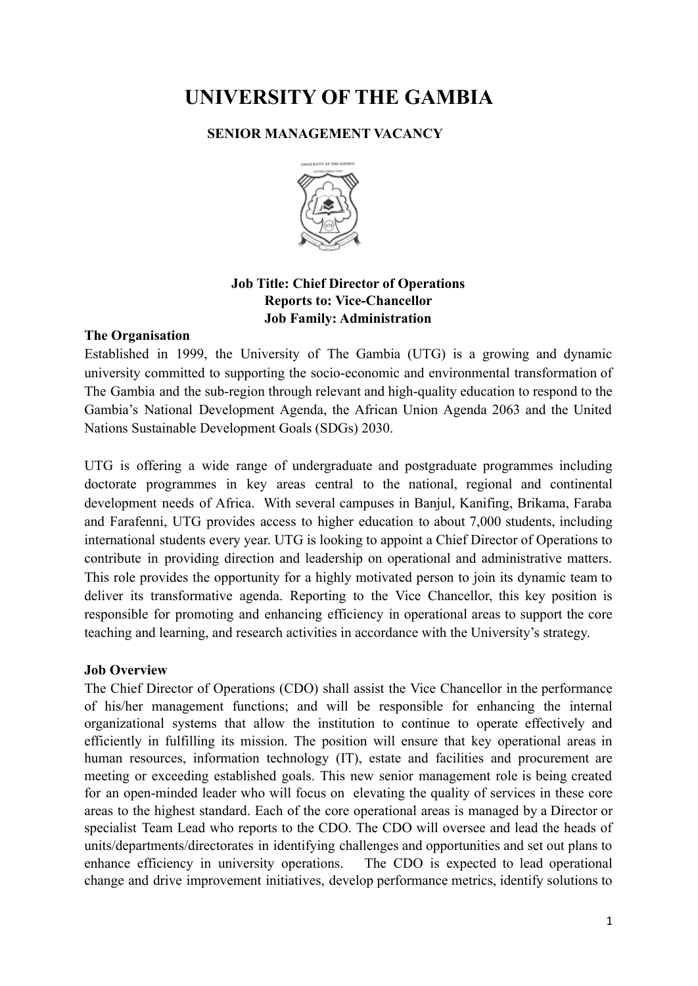# **UNIVERSITY OF THE GAMBIA**

# **SENIOR MANAGEMENT VACANCY**



# **Job Title: Chief Director of Operations Reports to: Vice-Chancellor Job Family: Administration**

# **The Organisation**

Established in 1999, the University of The Gambia (UTG) is a growing and dynamic university committed to supporting the socio-economic and environmental transformation of The Gambia and the sub-region through relevant and high-quality education to respond to the Gambia's National Development Agenda, the African Union Agenda 2063 and the United Nations Sustainable Development Goals (SDGs) 2030.

UTG is offering a wide range of undergraduate and postgraduate programmes including doctorate programmes in key areas central to the national, regional and continental development needs of Africa. With several campuses in Banjul, Kanifing, Brikama, Faraba and Farafenni, UTG provides access to higher education to about 7,000 students, including international students every year. UTG is looking to appoint a Chief Director of Operations to contribute in providing direction and leadership on operational and administrative matters. This role provides the opportunity for a highly motivated person to join its dynamic team to deliver its transformative agenda. Reporting to the Vice Chancellor, this key position is responsible for promoting and enhancing efficiency in operational areas to support the core teaching and learning, and research activities in accordance with the University's strategy.

# **Job Overview**

The Chief Director of Operations (CDO) shall assist the Vice Chancellor in the performance of his/her management functions; and will be responsible for enhancing the internal organizational systems that allow the institution to continue to operate effectively and efficiently in fulfilling its mission. The position will ensure that key operational areas in human resources, information technology (IT), estate and facilities and procurement are meeting or exceeding established goals. This new senior management role is being created for an open-minded leader who will focus on elevating the quality of services in these core areas to the highest standard. Each of the core operational areas is managed by a Director or specialist Team Lead who reports to the CDO. The CDO will oversee and lead the heads of units/departments/directorates in identifying challenges and opportunities and set out plans to enhance efficiency in university operations. The CDO is expected to lead operational change and drive improvement initiatives, develop performance metrics, identify solutions to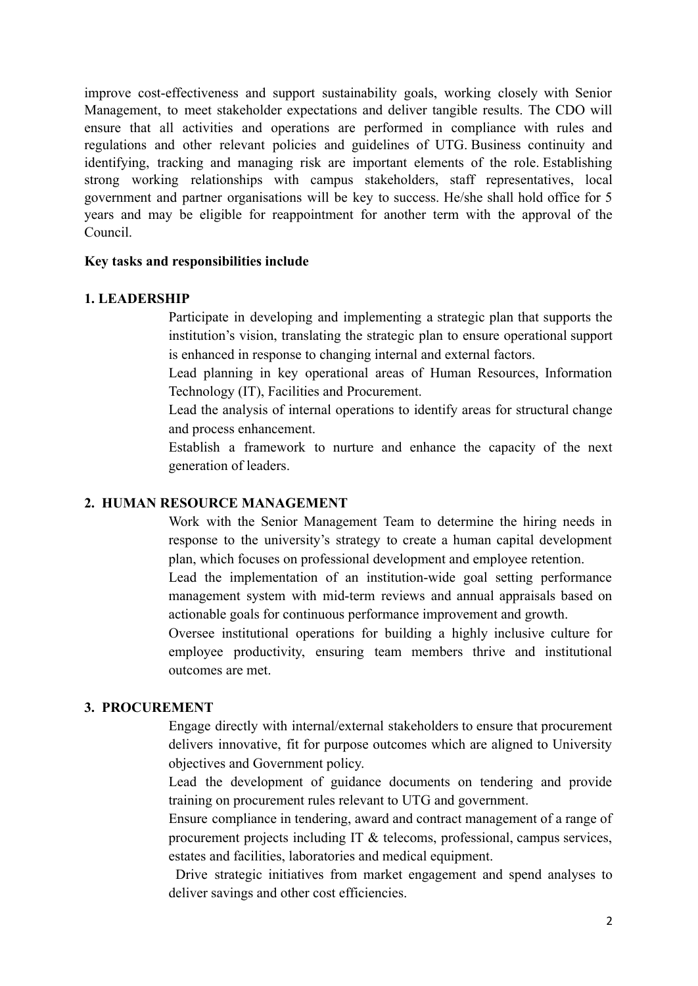improve cost-effectiveness and support sustainability goals, working closely with Senior Management, to meet stakeholder expectations and deliver tangible results. The CDO will ensure that all activities and operations are performed in compliance with rules and regulations and other relevant policies and guidelines of UTG. Business continuity and identifying, tracking and managing risk are important elements of the role. Establishing strong working relationships with campus stakeholders, staff representatives, local government and partner organisations will be key to success. He/she shall hold office for 5 years and may be eligible for reappointment for another term with the approval of the Council.

#### **Key tasks and responsibilities include**

#### **1. LEADERSHIP**

Participate in developing and implementing a strategic plan that supports the institution's vision, translating the strategic plan to ensure operational support is enhanced in response to changing internal and external factors.

Lead planning in key operational areas of Human Resources, Information Technology (IT), Facilities and Procurement.

Lead the analysis of internal operations to identify areas for structural change and process enhancement.

Establish a framework to nurture and enhance the capacity of the next generation of leaders.

#### **2. HUMAN RESOURCE MANAGEMENT**

Work with the Senior Management Team to determine the hiring needs in response to the university's strategy to create a human capital development plan, which focuses on professional development and employee retention.

Lead the implementation of an institution-wide goal setting performance management system with mid-term reviews and annual appraisals based on actionable goals for continuous performance improvement and growth.

Oversee institutional operations for building a highly inclusive culture for employee productivity, ensuring team members thrive and institutional outcomes are met.

#### **3. PROCUREMENT**

Engage directly with internal/external stakeholders to ensure that procurement delivers innovative, fit for purpose outcomes which are aligned to University objectives and Government policy.

Lead the development of guidance documents on tendering and provide training on procurement rules relevant to UTG and government.

Ensure compliance in tendering, award and contract management of a range of procurement projects including IT & telecoms, professional, campus services, estates and facilities, laboratories and medical equipment.

Drive strategic initiatives from market engagement and spend analyses to deliver savings and other cost efficiencies.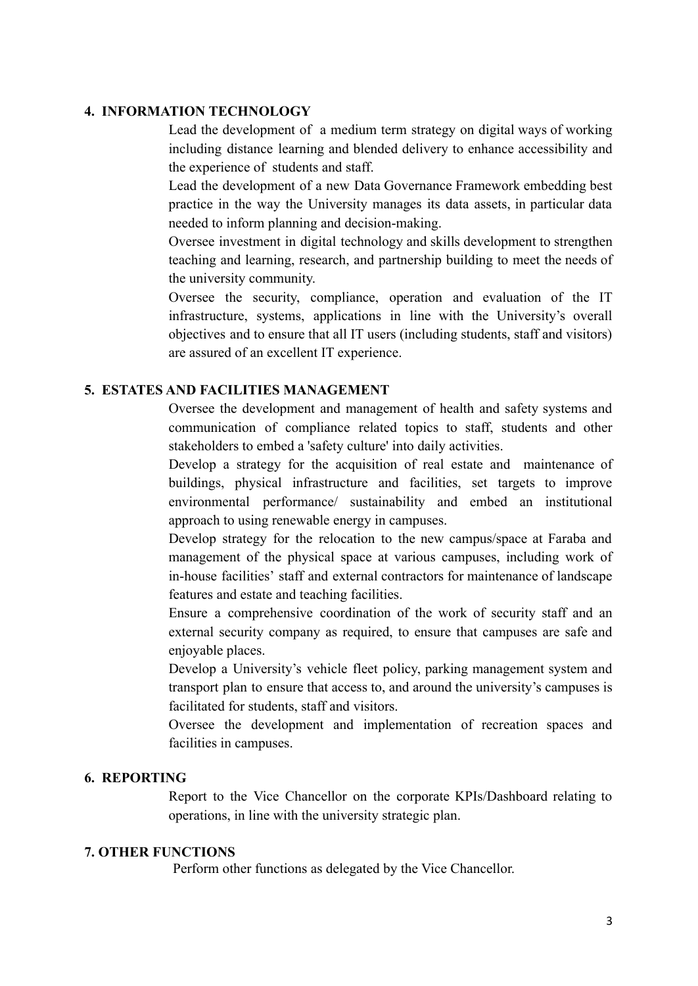#### **4. INFORMATION TECHNOLOGY**

Lead the development of a medium term strategy on digital ways of working including distance learning and blended delivery to enhance accessibility and the experience of students and staff.

Lead the development of a new Data Governance Framework embedding best practice in the way the University manages its data assets, in particular data needed to inform planning and decision-making.

Oversee investment in digital technology and skills development to strengthen teaching and learning, research, and partnership building to meet the needs of the university community.

Oversee the security, compliance, operation and evaluation of the IT infrastructure, systems, applications in line with the University's overall objectives and to ensure that all IT users (including students, staff and visitors) are assured of an excellent IT experience.

## **5. ESTATES AND FACILITIES MANAGEMENT**

Oversee the development and management of health and safety systems and communication of compliance related topics to staff, students and other stakeholders to embed a 'safety culture' into daily activities.

Develop a strategy for the acquisition of real estate and maintenance of buildings, physical infrastructure and facilities, set targets to improve environmental performance/ sustainability and embed an institutional approach to using renewable energy in campuses.

Develop strategy for the relocation to the new campus/space at Faraba and management of the physical space at various campuses, including work of in-house facilities' staff and external contractors for maintenance of landscape features and estate and teaching facilities.

Ensure a comprehensive coordination of the work of security staff and an external security company as required, to ensure that campuses are safe and enjoyable places.

Develop a University's vehicle fleet policy, parking management system and transport plan to ensure that access to, and around the university's campuses is facilitated for students, staff and visitors.

Oversee the development and implementation of recreation spaces and facilities in campuses.

#### **6. REPORTING**

Report to the Vice Chancellor on the corporate KPIs/Dashboard relating to operations, in line with the university strategic plan.

#### **7. OTHER FUNCTIONS**

Perform other functions as delegated by the Vice Chancellor.